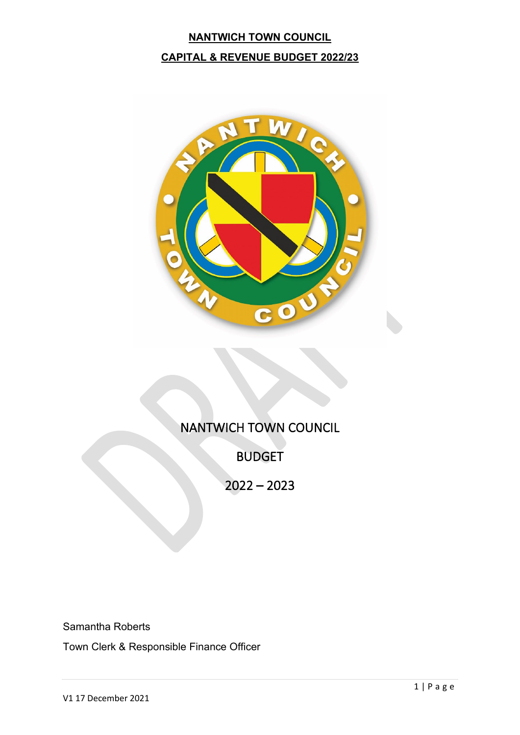# **NANTWICH TOWN COUNCIL CAPITAL & REVENUE BUDGET 2022/23**



# NANTWICH TOWN COUNCIL

BUDGET

2022 – 2023

Samantha Roberts

Town Clerk & Responsible Finance Officer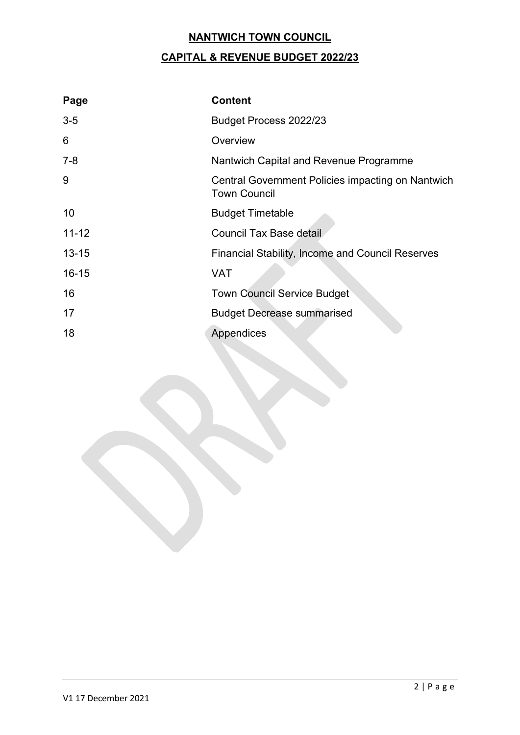# **CAPITAL & REVENUE BUDGET 2022/23**

| Page      | <b>Content</b>                                                           |
|-----------|--------------------------------------------------------------------------|
| $3-5$     | Budget Process 2022/23                                                   |
| 6         | Overview                                                                 |
| $7 - 8$   | Nantwich Capital and Revenue Programme                                   |
| 9         | Central Government Policies impacting on Nantwich<br><b>Town Council</b> |
| 10        | <b>Budget Timetable</b>                                                  |
| $11 - 12$ | <b>Council Tax Base detail</b>                                           |
| $13 - 15$ | <b>Financial Stability, Income and Council Reserves</b>                  |
| $16 - 15$ | <b>VAT</b>                                                               |
| 16        | <b>Town Council Service Budget</b>                                       |
| 17        | <b>Budget Decrease summarised</b>                                        |
| 18        | Appendices                                                               |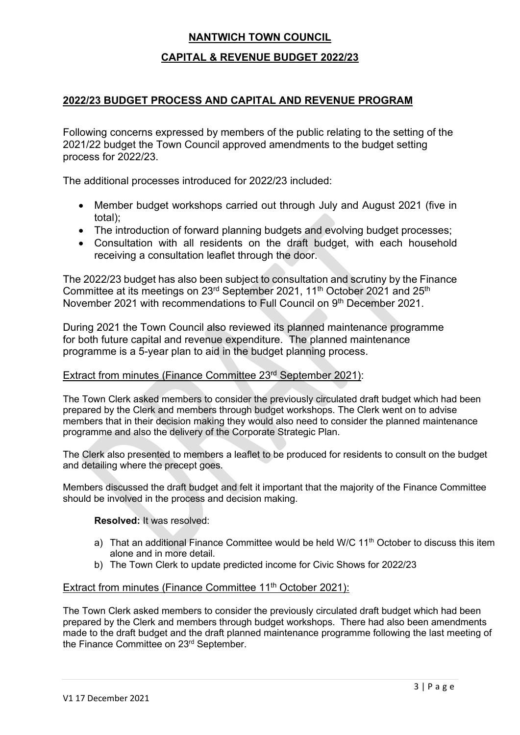#### **CAPITAL & REVENUE BUDGET 2022/23**

#### **2022/23 BUDGET PROCESS AND CAPITAL AND REVENUE PROGRAM**

Following concerns expressed by members of the public relating to the setting of the 2021/22 budget the Town Council approved amendments to the budget setting process for 2022/23.

The additional processes introduced for 2022/23 included:

- Member budget workshops carried out through July and August 2021 (five in total);
- The introduction of forward planning budgets and evolving budget processes;
- Consultation with all residents on the draft budget, with each household receiving a consultation leaflet through the door.

The 2022/23 budget has also been subject to consultation and scrutiny by the Finance Committee at its meetings on 23<sup>rd</sup> September 2021, 11<sup>th</sup> October 2021 and 25<sup>th</sup> November 2021 with recommendations to Full Council on 9th December 2021.

During 2021 the Town Council also reviewed its planned maintenance programme for both future capital and revenue expenditure. The planned maintenance programme is a 5-year plan to aid in the budget planning process.

#### Extract from minutes (Finance Committee 23rd September 2021):

The Town Clerk asked members to consider the previously circulated draft budget which had been prepared by the Clerk and members through budget workshops. The Clerk went on to advise members that in their decision making they would also need to consider the planned maintenance programme and also the delivery of the Corporate Strategic Plan.

The Clerk also presented to members a leaflet to be produced for residents to consult on the budget and detailing where the precept goes.

Members discussed the draft budget and felt it important that the majority of the Finance Committee should be involved in the process and decision making.

#### **Resolved:** It was resolved:

- a) That an additional Finance Committee would be held W/C 11<sup>th</sup> October to discuss this item alone and in more detail.
- b) The Town Clerk to update predicted income for Civic Shows for 2022/23

#### Extract from minutes (Finance Committee 11<sup>th</sup> October 2021):

The Town Clerk asked members to consider the previously circulated draft budget which had been prepared by the Clerk and members through budget workshops. There had also been amendments made to the draft budget and the draft planned maintenance programme following the last meeting of the Finance Committee on 23<sup>rd</sup> September.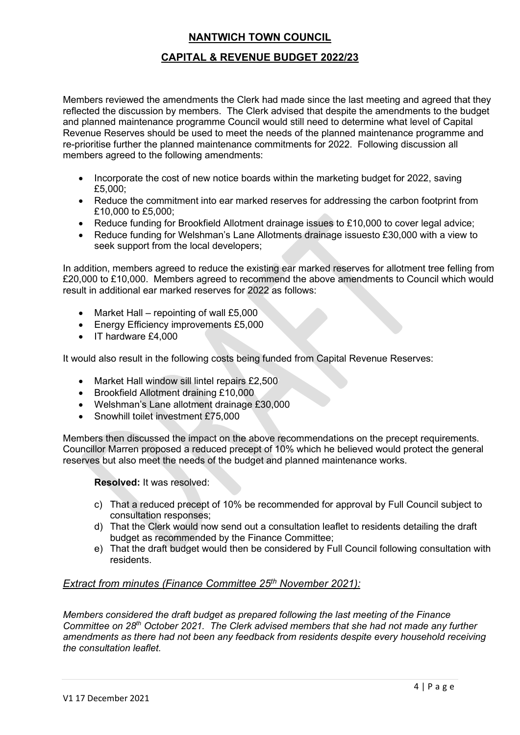### **CAPITAL & REVENUE BUDGET 2022/23**

Members reviewed the amendments the Clerk had made since the last meeting and agreed that they reflected the discussion by members. The Clerk advised that despite the amendments to the budget and planned maintenance programme Council would still need to determine what level of Capital Revenue Reserves should be used to meet the needs of the planned maintenance programme and re-prioritise further the planned maintenance commitments for 2022. Following discussion all members agreed to the following amendments:

- Incorporate the cost of new notice boards within the marketing budget for 2022, saving £5,000;
- Reduce the commitment into ear marked reserves for addressing the carbon footprint from £10,000 to £5,000;
- Reduce funding for Brookfield Allotment drainage issues to £10,000 to cover legal advice;
- Reduce funding for Welshman's Lane Allotments drainage issuesto £30,000 with a view to seek support from the local developers;

In addition, members agreed to reduce the existing ear marked reserves for allotment tree felling from £20,000 to £10,000. Members agreed to recommend the above amendments to Council which would result in additional ear marked reserves for 2022 as follows:

- Market Hall repointing of wall £5,000
- Energy Efficiency improvements £5,000
- IT hardware £4,000

It would also result in the following costs being funded from Capital Revenue Reserves:

- Market Hall window sill lintel repairs £2,500
- Brookfield Allotment draining £10,000
- Welshman's Lane allotment drainage £30,000
- Snowhill toilet investment £75,000

Members then discussed the impact on the above recommendations on the precept requirements. Councillor Marren proposed a reduced precept of 10% which he believed would protect the general reserves but also meet the needs of the budget and planned maintenance works.

**Resolved:** It was resolved:

- c) That a reduced precept of 10% be recommended for approval by Full Council subject to consultation responses;
- d) That the Clerk would now send out a consultation leaflet to residents detailing the draft budget as recommended by the Finance Committee;
- e) That the draft budget would then be considered by Full Council following consultation with residents.

#### *Extract from minutes (Finance Committee 25th November 2021):*

*Members considered the draft budget as prepared following the last meeting of the Finance Committee on 28th October 2021. The Clerk advised members that she had not made any further amendments as there had not been any feedback from residents despite every household receiving the consultation leaflet.*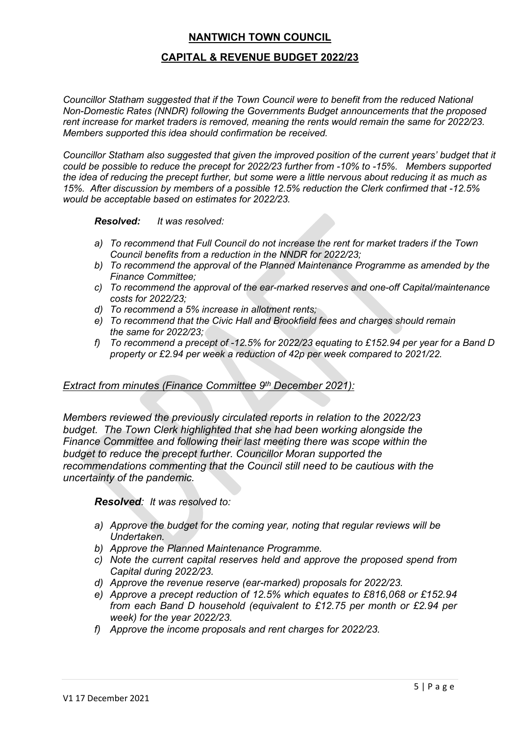#### **CAPITAL & REVENUE BUDGET 2022/23**

*Councillor Statham suggested that if the Town Council were to benefit from the reduced National Non-Domestic Rates (NNDR) following the Governments Budget announcements that the proposed rent increase for market traders is removed, meaning the rents would remain the same for 2022/23. Members supported this idea should confirmation be received.*

*Councillor Statham also suggested that given the improved position of the current years' budget that it could be possible to reduce the precept for 2022/23 further from -10% to -15%. Members supported the idea of reducing the precept further, but some were a little nervous about reducing it as much as 15%. After discussion by members of a possible 12.5% reduction the Clerk confirmed that -12.5% would be acceptable based on estimates for 2022/23.*

*Resolved: It was resolved:*

- *a) To recommend that Full Council do not increase the rent for market traders if the Town Council benefits from a reduction in the NNDR for 2022/23;*
- *b) To recommend the approval of the Planned Maintenance Programme as amended by the Finance Committee;*
- *c) To recommend the approval of the ear-marked reserves and one-off Capital/maintenance costs for 2022/23;*
- *d) To recommend a 5% increase in allotment rents;*
- *e) To recommend that the Civic Hall and Brookfield fees and charges should remain the same for 2022/23;*
- *f) To recommend a precept of -12.5% for 2022/23 equating to £152.94 per year for a Band D property or £2.94 per week a reduction of 42p per week compared to 2021/22.*

#### *Extract from minutes (Finance Committee 9th December 2021):*

*Members reviewed the previously circulated reports in relation to the 2022/23 budget. The Town Clerk highlighted that she had been working alongside the Finance Committee and following their last meeting there was scope within the budget to reduce the precept further. Councillor Moran supported the recommendations commenting that the Council still need to be cautious with the uncertainty of the pandemic.*

*Resolved: It was resolved to:* 

- *a) Approve the budget for the coming year, noting that regular reviews will be Undertaken.*
- *b) Approve the Planned Maintenance Programme.*
- *c) Note the current capital reserves held and approve the proposed spend from Capital during 2022/23.*
- *d) Approve the revenue reserve (ear-marked) proposals for 2022/23.*
- *e) Approve a precept reduction of 12.5% which equates to £816,068 or £152.94 from each Band D household (equivalent to £12.75 per month or £2.94 per week) for the year 2022/23.*
- *f) Approve the income proposals and rent charges for 2022/23.*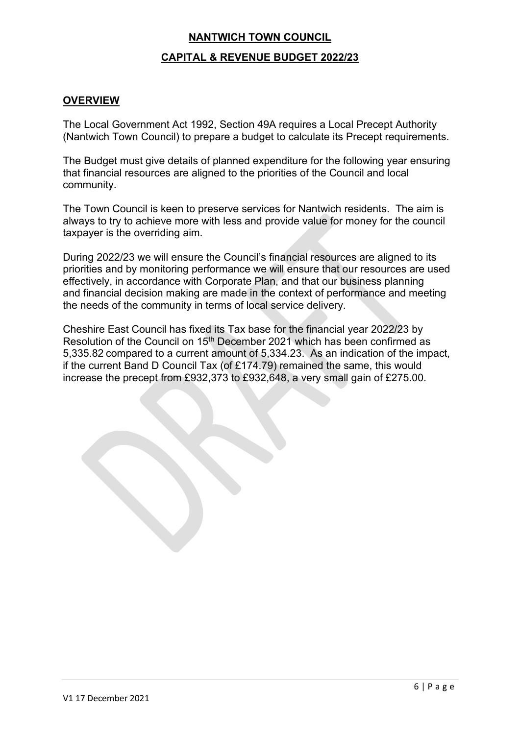#### **CAPITAL & REVENUE BUDGET 2022/23**

#### **OVERVIEW**

The Local Government Act 1992, Section 49A requires a Local Precept Authority (Nantwich Town Council) to prepare a budget to calculate its Precept requirements.

The Budget must give details of planned expenditure for the following year ensuring that financial resources are aligned to the priorities of the Council and local community.

The Town Council is keen to preserve services for Nantwich residents. The aim is always to try to achieve more with less and provide value for money for the council taxpayer is the overriding aim.

During 2022/23 we will ensure the Council's financial resources are aligned to its priorities and by monitoring performance we will ensure that our resources are used effectively, in accordance with Corporate Plan, and that our business planning and financial decision making are made in the context of performance and meeting the needs of the community in terms of local service delivery.

Cheshire East Council has fixed its Tax base for the financial year 2022/23 by Resolution of the Council on 15<sup>th</sup> December 2021 which has been confirmed as 5,335.82 compared to a current amount of 5,334.23. As an indication of the impact, if the current Band D Council Tax (of £174.79) remained the same, this would increase the precept from £932,373 to £932,648, a very small gain of £275.00.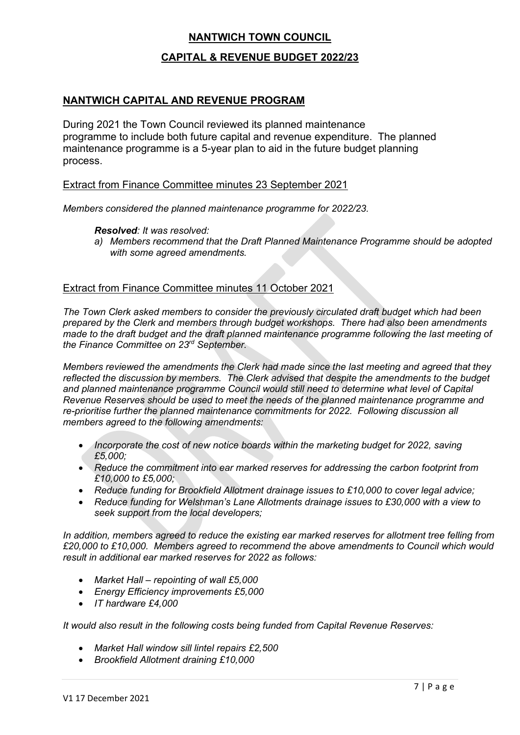#### **CAPITAL & REVENUE BUDGET 2022/23**

#### **NANTWICH CAPITAL AND REVENUE PROGRAM**

During 2021 the Town Council reviewed its planned maintenance programme to include both future capital and revenue expenditure. The planned maintenance programme is a 5-year plan to aid in the future budget planning process.

#### Extract from Finance Committee minutes 23 September 2021

*Members considered the planned maintenance programme for 2022/23.*

#### *Resolved: It was resolved:*

*a) Members recommend that the Draft Planned Maintenance Programme should be adopted with some agreed amendments.*

#### Extract from Finance Committee minutes 11 October 2021

*The Town Clerk asked members to consider the previously circulated draft budget which had been prepared by the Clerk and members through budget workshops. There had also been amendments made to the draft budget and the draft planned maintenance programme following the last meeting of the Finance Committee on 23rd September.* 

*Members reviewed the amendments the Clerk had made since the last meeting and agreed that they reflected the discussion by members. The Clerk advised that despite the amendments to the budget and planned maintenance programme Council would still need to determine what level of Capital Revenue Reserves should be used to meet the needs of the planned maintenance programme and re-prioritise further the planned maintenance commitments for 2022. Following discussion all members agreed to the following amendments:*

- *Incorporate the cost of new notice boards within the marketing budget for 2022, saving £5,000;*
- *Reduce the commitment into ear marked reserves for addressing the carbon footprint from £10,000 to £5,000;*
- *Reduce funding for Brookfield Allotment drainage issues to £10,000 to cover legal advice;*
- *Reduce funding for Welshman's Lane Allotments drainage issues to £30,000 with a view to seek support from the local developers;*

*In addition, members agreed to reduce the existing ear marked reserves for allotment tree felling from £20,000 to £10,000. Members agreed to recommend the above amendments to Council which would result in additional ear marked reserves for 2022 as follows:*

- *Market Hall – repointing of wall £5,000*
- *Energy Efficiency improvements £5,000*
- *IT hardware £4,000*

*It would also result in the following costs being funded from Capital Revenue Reserves:*

- *Market Hall window sill lintel repairs £2,500*
- *Brookfield Allotment draining £10,000*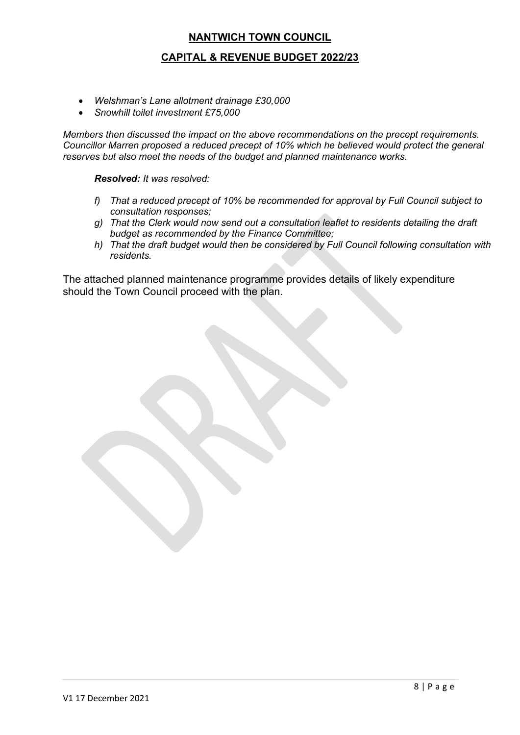#### **CAPITAL & REVENUE BUDGET 2022/23**

- *Welshman's Lane allotment drainage £30,000*
- *Snowhill toilet investment £75,000*

*Members then discussed the impact on the above recommendations on the precept requirements. Councillor Marren proposed a reduced precept of 10% which he believed would protect the general reserves but also meet the needs of the budget and planned maintenance works.*

*Resolved: It was resolved:*

- *f) That a reduced precept of 10% be recommended for approval by Full Council subject to consultation responses;*
- *g) That the Clerk would now send out a consultation leaflet to residents detailing the draft budget as recommended by the Finance Committee;*
- *h) That the draft budget would then be considered by Full Council following consultation with residents.*

The attached planned maintenance programme provides details of likely expenditure should the Town Council proceed with the plan.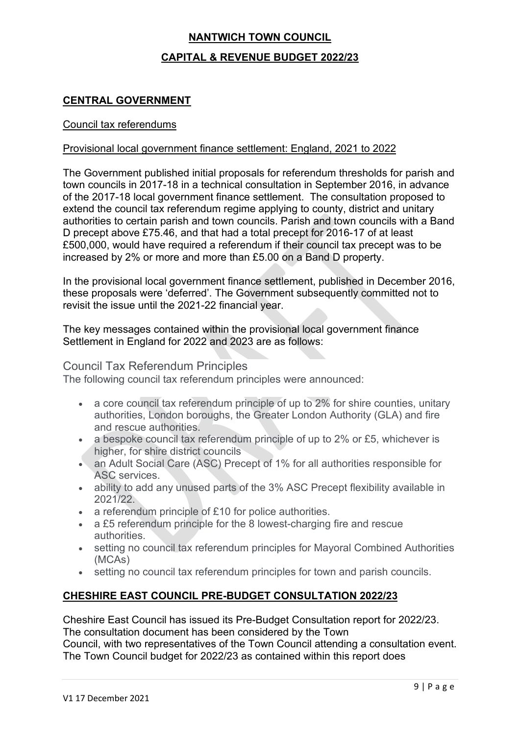# **NANTWICH TOWN COUNCIL CAPITAL & REVENUE BUDGET 2022/23**

## **CENTRAL GOVERNMENT**

#### Council tax referendums

#### Provisional local government finance settlement: England, 2021 to 2022

The Government published initial proposals for referendum thresholds for parish and town councils in 2017-18 in a technical consultation in September 2016, in advance of the 2017-18 local government finance settlement. The consultation proposed to extend the council tax referendum regime applying to county, district and unitary authorities to certain parish and town councils. Parish and town councils with a Band D precept above £75.46, and that had a total precept for 2016-17 of at least £500,000, would have required a referendum if their council tax precept was to be increased by 2% or more and more than £5.00 on a Band D property.

In the provisional local government finance settlement, published in December 2016, these proposals were 'deferred'. The Government subsequently committed not to revisit the issue until the 2021-22 financial year.

The key messages contained within the provisional local government finance Settlement in England for 2022 and 2023 are as follows:

#### Council Tax Referendum Principles

The following council tax referendum principles were announced:

- a core council tax referendum principle of up to 2% for shire counties, unitary authorities, London boroughs, the Greater London Authority (GLA) and fire and rescue authorities.
- a bespoke council tax referendum principle of up to 2% or £5, whichever is higher, for shire district councils
- an Adult Social Care (ASC) Precept of 1% for all authorities responsible for ASC services.
- ability to add any unused parts of the 3% ASC Precept flexibility available in 2021/22.
- a referendum principle of £10 for police authorities.
- a £5 referendum principle for the 8 lowest-charging fire and rescue authorities.
- setting no council tax referendum principles for Mayoral Combined Authorities (MCAs)
- setting no council tax referendum principles for town and parish councils.

## **CHESHIRE EAST COUNCIL PRE-BUDGET CONSULTATION 2022/23**

Cheshire East Council has issued its Pre-Budget Consultation report for 2022/23. The consultation document has been considered by the Town

Council, with two representatives of the Town Council attending a consultation event. The Town Council budget for 2022/23 as contained within this report does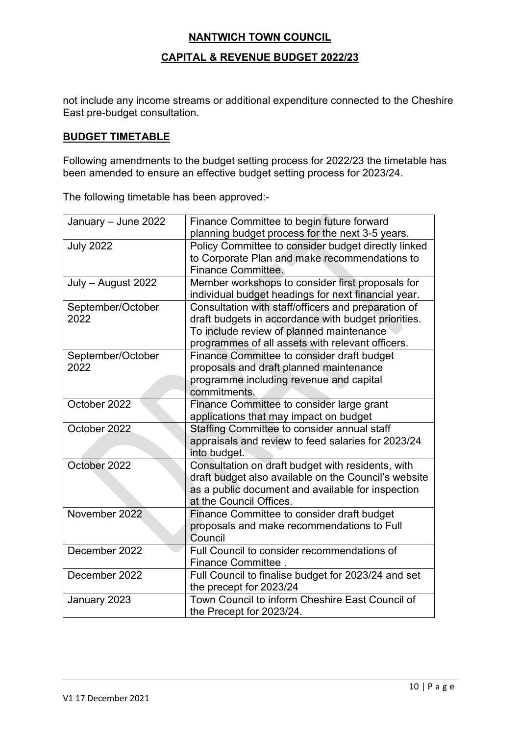#### **CAPITAL & REVENUE BUDGET 2022/23**

not include any income streams or additional expenditure connected to the Cheshire East pre-budget consultation.

#### **BUDGET TIMETABLE**

Following amendments to the budget setting process for 2022/23 the timetable has been amended to ensure an effective budget setting process for 2023/24.

The following timetable has been approved:-

| January - June 2022 | Finance Committee to begin future forward<br>planning budget process for the next 3-5 years.            |
|---------------------|---------------------------------------------------------------------------------------------------------|
| <b>July 2022</b>    | Policy Committee to consider budget directly linked                                                     |
|                     | to Corporate Plan and make recommendations to                                                           |
|                     | <b>Finance Committee.</b>                                                                               |
| July - August 2022  | Member workshops to consider first proposals for<br>individual budget headings for next financial year. |
| September/October   | Consultation with staff/officers and preparation of                                                     |
| 2022                | draft budgets in accordance with budget priorities.                                                     |
|                     | To include review of planned maintenance                                                                |
|                     | programmes of all assets with relevant officers.                                                        |
| September/October   | Finance Committee to consider draft budget                                                              |
| 2022                | proposals and draft planned maintenance                                                                 |
|                     | programme including revenue and capital                                                                 |
|                     | commitments.                                                                                            |
| October 2022        | Finance Committee to consider large grant                                                               |
|                     | applications that may impact on budget                                                                  |
| October 2022        | Staffing Committee to consider annual staff                                                             |
|                     | appraisals and review to feed salaries for 2023/24                                                      |
|                     | into budget.                                                                                            |
| October 2022        | Consultation on draft budget with residents, with                                                       |
|                     | draft budget also available on the Council's website                                                    |
|                     | as a public document and available for inspection                                                       |
|                     | at the Council Offices.                                                                                 |
| November 2022       | Finance Committee to consider draft budget                                                              |
|                     | proposals and make recommendations to Full                                                              |
|                     | Council                                                                                                 |
| December 2022       | Full Council to consider recommendations of                                                             |
|                     | Finance Committee.                                                                                      |
| December 2022       | Full Council to finalise budget for 2023/24 and set                                                     |
|                     | the precept for 2023/24                                                                                 |
| January 2023        | Town Council to inform Cheshire East Council of                                                         |
|                     | the Precept for 2023/24.                                                                                |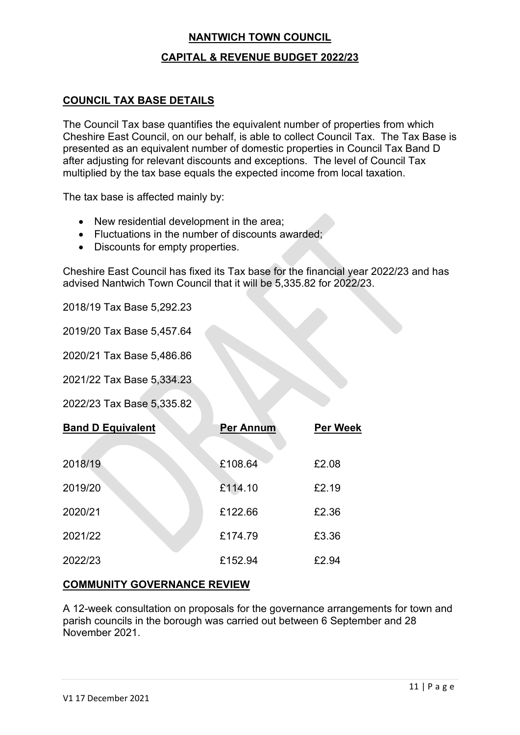#### **CAPITAL & REVENUE BUDGET 2022/23**

#### **COUNCIL TAX BASE DETAILS**

The Council Tax base quantifies the equivalent number of properties from which Cheshire East Council, on our behalf, is able to collect Council Tax. The Tax Base is presented as an equivalent number of domestic properties in Council Tax Band D after adjusting for relevant discounts and exceptions. The level of Council Tax multiplied by the tax base equals the expected income from local taxation.

The tax base is affected mainly by:

- New residential development in the area;
- Fluctuations in the number of discounts awarded;
- Discounts for empty properties.

Cheshire East Council has fixed its Tax base for the financial year 2022/23 and has advised Nantwich Town Council that it will be 5,335.82 for 2022/23.

2018/19 Tax Base 5,292.23

2019/20 Tax Base 5,457.64

2020/21 Tax Base 5,486.86

2021/22 Tax Base 5,334.23

2022/23 Tax Base 5,335.82

| <b>Band D Equivalent</b> | <b>Per Annum</b> | <b>Per Week</b> |
|--------------------------|------------------|-----------------|
| 2018/19                  | £108.64          | £2.08           |
| 2019/20                  | £114.10          | £2.19           |
| 2020/21                  | £122.66          | £2.36           |
| 2021/22                  | £174.79          | £3.36           |
| 2022/23                  | £152.94          | £2.94           |

#### **COMMUNITY GOVERNANCE REVIEW**

A 12-week consultation on proposals for the governance arrangements for town and parish councils in the borough was carried out between 6 September and 28 November 2021.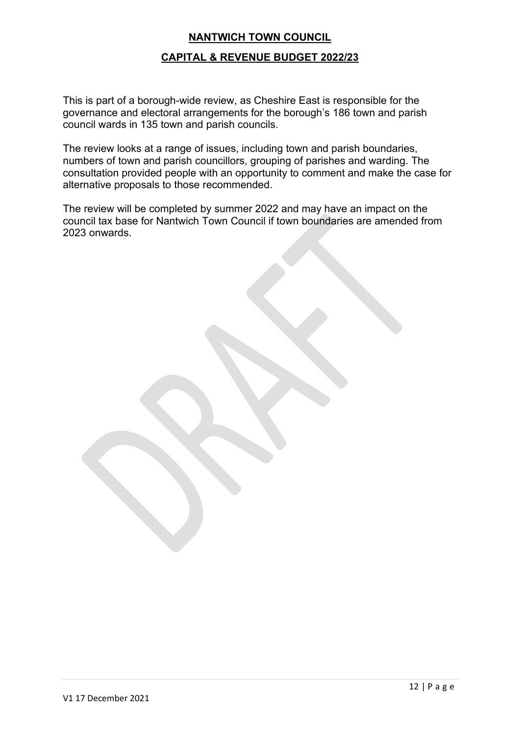#### **CAPITAL & REVENUE BUDGET 2022/23**

This is part of a borough-wide review, as Cheshire East is responsible for the governance and electoral arrangements for the borough's 186 town and parish council wards in 135 town and parish councils.

The review looks at a range of issues, including town and parish boundaries, numbers of town and parish councillors, grouping of parishes and warding. The consultation provided people with an opportunity to comment and make the case for alternative proposals to those recommended.

The review will be completed by summer 2022 and may have an impact on the council tax base for Nantwich Town Council if town boundaries are amended from 2023 onwards.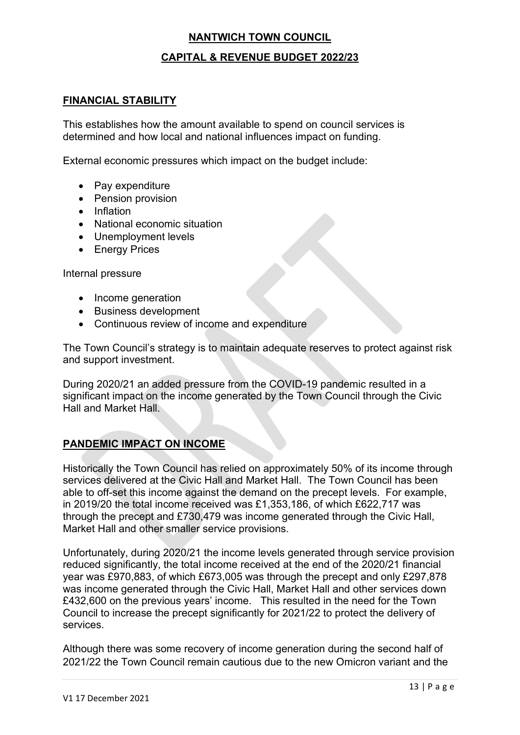## **CAPITAL & REVENUE BUDGET 2022/23**

#### **FINANCIAL STABILITY**

This establishes how the amount available to spend on council services is determined and how local and national influences impact on funding.

External economic pressures which impact on the budget include:

- Pay expenditure
- Pension provision
- Inflation
- National economic situation
- Unemployment levels
- Energy Prices

Internal pressure

- Income generation
- Business development
- Continuous review of income and expenditure

The Town Council's strategy is to maintain adequate reserves to protect against risk and support investment.

During 2020/21 an added pressure from the COVID-19 pandemic resulted in a significant impact on the income generated by the Town Council through the Civic Hall and Market Hall.

## **PANDEMIC IMPACT ON INCOME**

Historically the Town Council has relied on approximately 50% of its income through services delivered at the Civic Hall and Market Hall. The Town Council has been able to off-set this income against the demand on the precept levels. For example, in 2019/20 the total income received was £1,353,186, of which £622,717 was through the precept and £730,479 was income generated through the Civic Hall, Market Hall and other smaller service provisions.

Unfortunately, during 2020/21 the income levels generated through service provision reduced significantly, the total income received at the end of the 2020/21 financial year was £970,883, of which £673,005 was through the precept and only £297,878 was income generated through the Civic Hall, Market Hall and other services down £432,600 on the previous years' income. This resulted in the need for the Town Council to increase the precept significantly for 2021/22 to protect the delivery of services.

Although there was some recovery of income generation during the second half of 2021/22 the Town Council remain cautious due to the new Omicron variant and the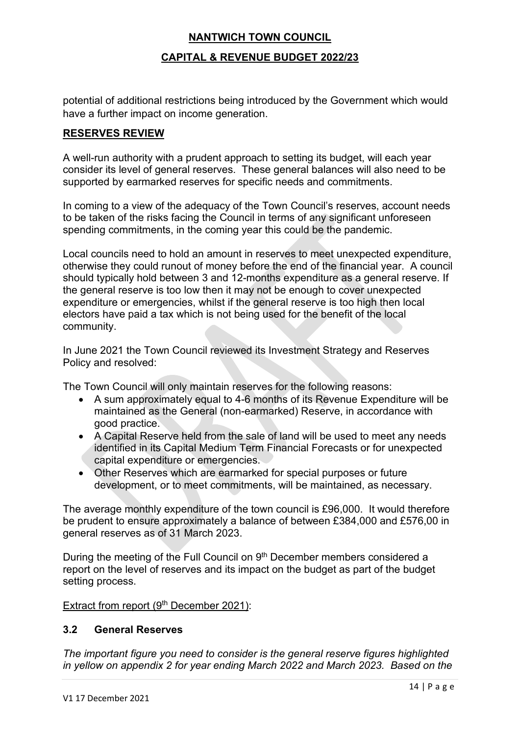### **CAPITAL & REVENUE BUDGET 2022/23**

potential of additional restrictions being introduced by the Government which would have a further impact on income generation.

#### **RESERVES REVIEW**

A well-run authority with a prudent approach to setting its budget, will each year consider its level of general reserves. These general balances will also need to be supported by earmarked reserves for specific needs and commitments.

In coming to a view of the adequacy of the Town Council's reserves, account needs to be taken of the risks facing the Council in terms of any significant unforeseen spending commitments, in the coming year this could be the pandemic.

Local councils need to hold an amount in reserves to meet unexpected expenditure, otherwise they could runout of money before the end of the financial year. A council should typically hold between 3 and 12-months expenditure as a general reserve. If the general reserve is too low then it may not be enough to cover unexpected expenditure or emergencies, whilst if the general reserve is too high then local electors have paid a tax which is not being used for the benefit of the local community.

In June 2021 the Town Council reviewed its Investment Strategy and Reserves Policy and resolved:

The Town Council will only maintain reserves for the following reasons:

- A sum approximately equal to 4-6 months of its Revenue Expenditure will be maintained as the General (non-earmarked) Reserve, in accordance with good practice.
- A Capital Reserve held from the sale of land will be used to meet any needs identified in its Capital Medium Term Financial Forecasts or for unexpected capital expenditure or emergencies.
- Other Reserves which are earmarked for special purposes or future development, or to meet commitments, will be maintained, as necessary.

The average monthly expenditure of the town council is £96,000. It would therefore be prudent to ensure approximately a balance of between £384,000 and £576,00 in general reserves as of 31 March 2023.

During the meeting of the Full Council on 9<sup>th</sup> December members considered a report on the level of reserves and its impact on the budget as part of the budget setting process.

Extract from report (9<sup>th</sup> December 2021):

#### **3.2 General Reserves**

*The important figure you need to consider is the general reserve figures highlighted in yellow on appendix 2 for year ending March 2022 and March 2023. Based on the*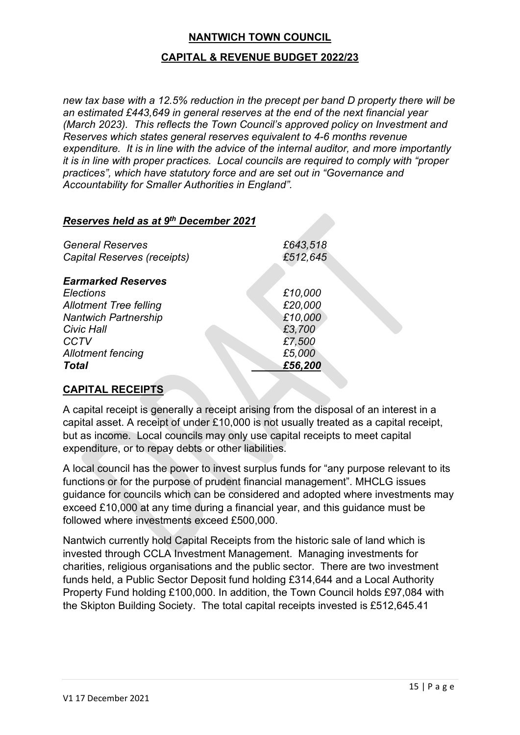## **CAPITAL & REVENUE BUDGET 2022/23**

*new tax base with a 12.5% reduction in the precept per band D property there will be an estimated £443,649 in general reserves at the end of the next financial year (March 2023). This reflects the Town Council's approved policy on Investment and Reserves which states general reserves equivalent to 4-6 months revenue expenditure. It is in line with the advice of the internal auditor, and more importantly it is in line with proper practices. Local councils are required to comply with "proper practices", which have statutory force and are set out in "Governance and Accountability for Smaller Authorities in England".* 

#### *Reserves held as at 9th December 2021*

| <b>General Reserves</b><br>Capital Reserves (receipts)                           | £643,518<br>£512,645          |
|----------------------------------------------------------------------------------|-------------------------------|
| <b>Earmarked Reserves</b>                                                        |                               |
| <b>Elections</b><br><b>Allotment Tree felling</b><br><b>Nantwich Partnership</b> | £10,000<br>£20,000<br>£10,000 |
| <b>Civic Hall</b><br><b>CCTV</b>                                                 | £3,700<br>£7,500              |
| <b>Allotment fencing</b><br><b>Total</b>                                         | £5,000<br>£56,200             |

## **CAPITAL RECEIPTS**

A capital receipt is generally a receipt arising from the disposal of an interest in a capital asset. A receipt of under £10,000 is not usually treated as a capital receipt, but as income. Local councils may only use capital receipts to meet capital expenditure, or to repay debts or other liabilities.

A local council has the power to invest surplus funds for "any purpose relevant to its functions or for the purpose of prudent financial management". MHCLG issues guidance for councils which can be considered and adopted where investments may exceed £10,000 at any time during a financial year, and this guidance must be followed where investments exceed £500,000.

Nantwich currently hold Capital Receipts from the historic sale of land which is invested through CCLA Investment Management. Managing investments for charities, religious organisations and the public sector. There are two investment funds held, a Public Sector Deposit fund holding £314,644 and a Local Authority Property Fund holding £100,000. In addition, the Town Council holds £97,084 with the Skipton Building Society. The total capital receipts invested is £512,645.41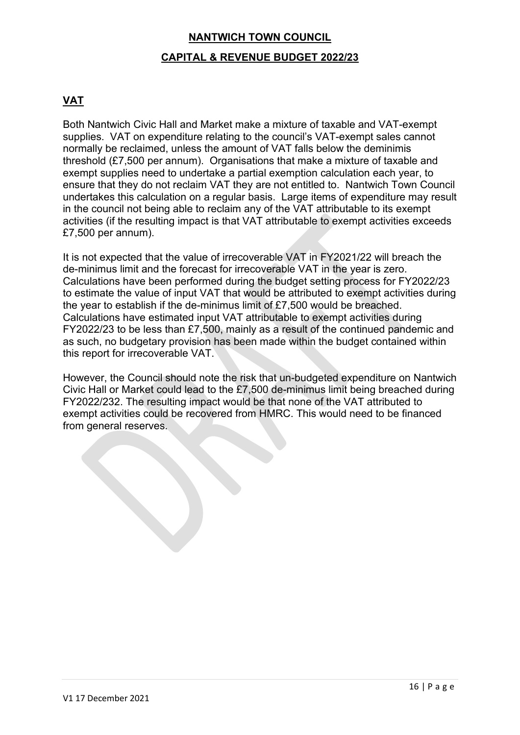# **NANTWICH TOWN COUNCIL CAPITAL & REVENUE BUDGET 2022/23**

## **VAT**

Both Nantwich Civic Hall and Market make a mixture of taxable and VAT-exempt supplies. VAT on expenditure relating to the council's VAT-exempt sales cannot normally be reclaimed, unless the amount of VAT falls below the deminimis threshold (£7,500 per annum). Organisations that make a mixture of taxable and exempt supplies need to undertake a partial exemption calculation each year, to ensure that they do not reclaim VAT they are not entitled to. Nantwich Town Council undertakes this calculation on a regular basis. Large items of expenditure may result in the council not being able to reclaim any of the VAT attributable to its exempt activities (if the resulting impact is that VAT attributable to exempt activities exceeds £7,500 per annum).

It is not expected that the value of irrecoverable VAT in FY2021/22 will breach the de-minimus limit and the forecast for irrecoverable VAT in the year is zero. Calculations have been performed during the budget setting process for FY2022/23 to estimate the value of input VAT that would be attributed to exempt activities during the year to establish if the de-minimus limit of £7,500 would be breached. Calculations have estimated input VAT attributable to exempt activities during FY2022/23 to be less than £7,500, mainly as a result of the continued pandemic and as such, no budgetary provision has been made within the budget contained within this report for irrecoverable VAT.

However, the Council should note the risk that un-budgeted expenditure on Nantwich Civic Hall or Market could lead to the £7,500 de-minimus limit being breached during FY2022/232. The resulting impact would be that none of the VAT attributed to exempt activities could be recovered from HMRC. This would need to be financed from general reserves.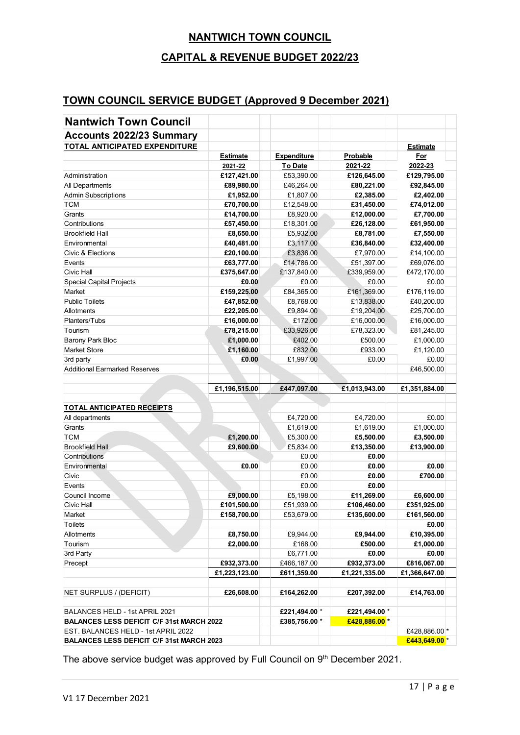## **CAPITAL & REVENUE BUDGET 2022/23**

## **TOWN COUNCIL SERVICE BUDGET (Approved 9 December 2021)**

| <b>Nantwich Town Council</b>                                                       |                              |                                |                                |                              |
|------------------------------------------------------------------------------------|------------------------------|--------------------------------|--------------------------------|------------------------------|
| <b>Accounts 2022/23 Summary</b>                                                    |                              |                                |                                |                              |
| TOTAL ANTICIPATED EXPENDITURE                                                      |                              |                                |                                | <b>Estimate</b>              |
|                                                                                    | <b>Estimate</b>              | <b>Expenditure</b>             | Probable                       | For                          |
|                                                                                    | 2021-22                      | To Date                        | 2021-22                        | 2022-23                      |
| Administration                                                                     | £127,421.00                  | £53,390.00                     | £126,645.00                    | £129,795.00                  |
| All Departments                                                                    | £89,980.00                   | £46,264.00                     | £80,221.00                     | £92,845.00                   |
| <b>Admin Subscriptions</b>                                                         | £1,952.00                    | £1,807.00                      | £2,385.00                      | £2,402.00                    |
| <b>TCM</b>                                                                         | £70,700.00                   | £12,548.00                     | £31,450.00                     | £74,012.00                   |
| Grants                                                                             | £14,700.00                   | £8,920.00                      | £12,000.00                     | £7,700.00                    |
| Contributions                                                                      | £57,450.00                   | £18,301.00                     | £26,128.00                     | £61,950.00                   |
| <b>Brookfield Hall</b>                                                             | £8,650.00                    | £5,932.00                      | £8,781.00                      | £7,550.00                    |
| Environmental                                                                      | £40,481.00                   | £3,117.00                      | £36,840.00                     | £32,400.00                   |
| Civic & Elections                                                                  | £20,100.00                   | £3,836.00                      | £7,970.00                      | £14,100.00                   |
| Events                                                                             | £63,777.00                   | £14,786.00                     | £51,397.00                     | £69,076.00                   |
| Civic Hall                                                                         | £375,647.00                  | £137,840.00                    | £339,959.00                    | £472,170.00                  |
| Special Capital Projects                                                           | £0.00                        | £0.00                          | £0.00                          | £0.00                        |
| Market                                                                             | £159,225.00                  | £84,365.00                     | £161,369.00                    | £176,119.00                  |
| <b>Public Toilets</b>                                                              | £47,852.00                   | £8,768.00                      | £13.838.00                     | £40,200.00                   |
| Allotments                                                                         | £22,205.00                   | £9,894.00                      | £19,204.00                     | £25,700.00                   |
| Planters/Tubs                                                                      | £16,000.00                   | £172.00                        | £16,000.00                     | £16,000.00                   |
| Tourism                                                                            | £78,215.00                   | £33,926.00                     | £78,323.00                     | £81,245.00                   |
| Barony Park Bloc                                                                   | £1,000.00                    | £402.00                        | £500.00                        | £1,000.00                    |
| <b>Market Store</b>                                                                | £1,160.00                    | £832.00                        | £933.00                        | £1,120.00                    |
| 3rd party                                                                          | £0.00                        | £1,997.00                      | £0.00                          | £0.00                        |
| <b>Additional Earmarked Reserves</b>                                               |                              |                                |                                | £46,500.00                   |
|                                                                                    |                              |                                |                                |                              |
|                                                                                    | £1,196,515.00                | £447,097.00                    | £1,013,943.00                  | £1,351,884.00                |
|                                                                                    |                              |                                |                                |                              |
| TOTAL ANTICIPATED RECEIPTS                                                         |                              |                                |                                |                              |
|                                                                                    |                              | £4,720.00                      | £4,720.00                      | £0.00                        |
| All departments<br>Grants                                                          |                              |                                |                                |                              |
| <b>TCM</b>                                                                         |                              | £1,619.00                      | £1,619.00                      | £1,000.00                    |
| <b>Brookfield Hall</b>                                                             | £1,200.00                    | £5,300.00                      | £5,500.00                      | £3,500.00                    |
| Contributions                                                                      | £9,600.00                    | £5,834.00                      | £13,350.00                     | £13,900.00                   |
| Environmental                                                                      | £0.00                        | £0.00<br>£0.00                 | £0.00<br>£0.00                 | £0.00                        |
| Civic                                                                              |                              | £0.00                          | £0.00                          | £700.00                      |
| Events                                                                             |                              |                                | £0.00                          |                              |
| Council Income                                                                     | £9,000.00                    | £0.00<br>£5,198.00             |                                |                              |
|                                                                                    |                              |                                | £11,269.00                     | £6,600.00                    |
| Civic Hall<br>Market                                                               | £101,500.00                  | £51,939.00                     | £106,460.00                    | £351,925.00                  |
| Toilets                                                                            | £158,700.00                  | £53,679.00                     | £135,600.00                    | £161,560.00                  |
|                                                                                    |                              |                                |                                | £0.00                        |
| Allotments                                                                         | £8,750.00                    | £9,944.00                      | £9,944.00                      | £10,395.00                   |
| Tourism                                                                            | £2,000.00                    | £168.00                        | £500.00                        | £1,000.00                    |
| 3rd Party                                                                          |                              | £6,771.00                      | £0.00                          | £0.00                        |
| Precept                                                                            | £932,373.00<br>£1,223,123.00 | £466,187.00<br>£611,359.00     | £932,373.00<br>£1,221,335.00   | £816,067.00<br>£1,366,647.00 |
|                                                                                    |                              |                                |                                |                              |
| NET SURPLUS / (DEFICIT)                                                            | £26,608.00                   | £164,262.00                    | £207,392.00                    | £14,763.00                   |
|                                                                                    |                              |                                |                                |                              |
| BALANCES HELD - 1st APRIL 2021<br><b>BALANCES LESS DEFICIT C/F 31st MARCH 2022</b> |                              | £221,494.00 *<br>£385,756.00 * | £221,494.00 *<br>£428,886.00 * |                              |
| EST. BALANCES HELD - 1st APRIL 2022                                                |                              |                                |                                | £428,886.00                  |

The above service budget was approved by Full Council on 9<sup>th</sup> December 2021.